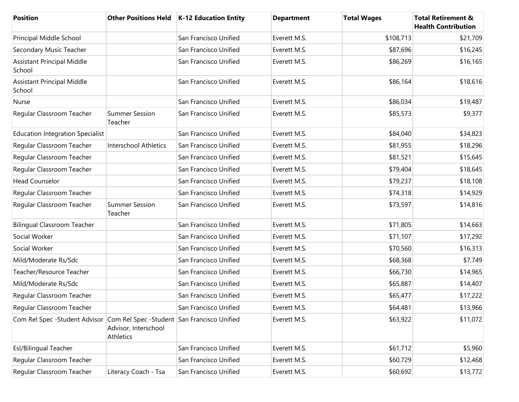| <b>Position</b>                                                           |                                          | Other Positions Held   K-12 Education Entity | <b>Department</b> | <b>Total Wages</b> | <b>Total Retirement &amp;</b><br><b>Health Contribution</b> |
|---------------------------------------------------------------------------|------------------------------------------|----------------------------------------------|-------------------|--------------------|-------------------------------------------------------------|
| Principal Middle School                                                   |                                          | San Francisco Unified                        | Everett M.S.      | \$108,713          | \$21,709                                                    |
| Secondary Music Teacher                                                   |                                          | San Francisco Unified                        | Everett M.S.      | \$87,696           | \$16,245                                                    |
| <b>Assistant Principal Middle</b><br>School                               |                                          | San Francisco Unified                        | Everett M.S.      | \$86,269           | \$16,165                                                    |
| Assistant Principal Middle<br>School                                      |                                          | San Francisco Unified                        | Everett M.S.      | \$86,164           | \$18,616                                                    |
| Nurse                                                                     |                                          | San Francisco Unified                        | Everett M.S.      | \$86,034           | \$19,487                                                    |
| Regular Classroom Teacher                                                 | <b>Summer Session</b><br>Teacher         | San Francisco Unified                        | Everett M.S.      | \$85,573           | \$9,377                                                     |
| <b>Education Integration Specialist</b>                                   |                                          | San Francisco Unified                        | Everett M.S.      | \$84,040           | \$34,823                                                    |
| Regular Classroom Teacher                                                 | <b>Interschool Athletics</b>             | San Francisco Unified                        | Everett M.S.      | \$81,955           | \$18,296                                                    |
| Regular Classroom Teacher                                                 |                                          | San Francisco Unified                        | Everett M.S.      | \$81,521           | \$15,645                                                    |
| Regular Classroom Teacher                                                 |                                          | San Francisco Unified                        | Everett M.S.      | \$79,404           | \$18,645                                                    |
| <b>Head Counselor</b>                                                     |                                          | San Francisco Unified                        | Everett M.S.      | \$79,237           | \$18,108                                                    |
| Regular Classroom Teacher                                                 |                                          | San Francisco Unified                        | Everett M.S.      | \$74,318           | \$14,929                                                    |
| Regular Classroom Teacher                                                 | <b>Summer Session</b><br>Teacher         | San Francisco Unified                        | Everett M.S.      | \$73,597           | \$14,816                                                    |
| <b>Bilingual Classroom Teacher</b>                                        |                                          | San Francisco Unified                        | Everett M.S.      | \$71,805           | \$14,663                                                    |
| Social Worker                                                             |                                          | San Francisco Unified                        | Everett M.S.      | \$71,107           | \$17,292                                                    |
| Social Worker                                                             |                                          | San Francisco Unified                        | Everett M.S.      | \$70,560           | \$16,313                                                    |
| Mild/Moderate Rs/Sdc                                                      |                                          | San Francisco Unified                        | Everett M.S.      | \$68,368           | \$7,749                                                     |
| Teacher/Resource Teacher                                                  |                                          | San Francisco Unified                        | Everett M.S.      | \$66,730           | \$14,965                                                    |
| Mild/Moderate Rs/Sdc                                                      |                                          | San Francisco Unified                        | Everett M.S.      | \$65,887           | \$14,407                                                    |
| Regular Classroom Teacher                                                 |                                          | San Francisco Unified                        | Everett M.S.      | \$65,477           | \$17,222                                                    |
| Regular Classroom Teacher                                                 |                                          | San Francisco Unified                        | Everett M.S.      | \$64,481           | \$13,966                                                    |
| Com Rel Spec -Student Advisor Com Rel Spec -Student San Francisco Unified | Advisor, Interschool<br><b>Athletics</b> |                                              | Everett M.S.      | \$63,922           | \$11,072                                                    |
| Esl/Bilingual Teacher                                                     |                                          | San Francisco Unified                        | Everett M.S.      | \$61,712           | \$5,960                                                     |
| Regular Classroom Teacher                                                 |                                          | San Francisco Unified                        | Everett M.S.      | \$60,729           | \$12,468                                                    |
| Regular Classroom Teacher                                                 | Literacy Coach - Tsa                     | San Francisco Unified                        | Everett M.S.      | \$60,692           | \$13,772                                                    |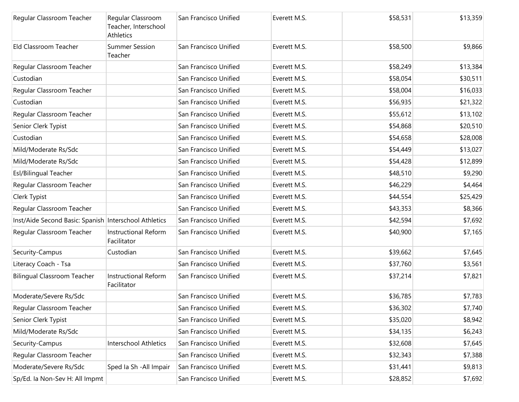| Regular Classroom Teacher                             | Regular Classroom<br>Teacher, Interschool<br>Athletics | San Francisco Unified | Everett M.S. | \$58,531 | \$13,359 |
|-------------------------------------------------------|--------------------------------------------------------|-----------------------|--------------|----------|----------|
| Eld Classroom Teacher                                 | <b>Summer Session</b><br>Teacher                       | San Francisco Unified | Everett M.S. | \$58,500 | \$9,866  |
| Regular Classroom Teacher                             |                                                        | San Francisco Unified | Everett M.S. | \$58,249 | \$13,384 |
| Custodian                                             |                                                        | San Francisco Unified | Everett M.S. | \$58,054 | \$30,511 |
| Regular Classroom Teacher                             |                                                        | San Francisco Unified | Everett M.S. | \$58,004 | \$16,033 |
| Custodian                                             |                                                        | San Francisco Unified | Everett M.S. | \$56,935 | \$21,322 |
| Regular Classroom Teacher                             |                                                        | San Francisco Unified | Everett M.S. | \$55,612 | \$13,102 |
| Senior Clerk Typist                                   |                                                        | San Francisco Unified | Everett M.S. | \$54,868 | \$20,510 |
| Custodian                                             |                                                        | San Francisco Unified | Everett M.S. | \$54,658 | \$28,008 |
| Mild/Moderate Rs/Sdc                                  |                                                        | San Francisco Unified | Everett M.S. | \$54,449 | \$13,027 |
| Mild/Moderate Rs/Sdc                                  |                                                        | San Francisco Unified | Everett M.S. | \$54,428 | \$12,899 |
| Esl/Bilingual Teacher                                 |                                                        | San Francisco Unified | Everett M.S. | \$48,510 | \$9,290  |
| Regular Classroom Teacher                             |                                                        | San Francisco Unified | Everett M.S. | \$46,229 | \$4,464  |
| Clerk Typist                                          |                                                        | San Francisco Unified | Everett M.S. | \$44,554 | \$25,429 |
| Regular Classroom Teacher                             |                                                        | San Francisco Unified | Everett M.S. | \$43,353 | \$8,366  |
| Inst/Aide Second Basic: Spanish Interschool Athletics |                                                        | San Francisco Unified | Everett M.S. | \$42,594 | \$7,692  |
| Regular Classroom Teacher                             | Instructional Reform<br>Facilitator                    | San Francisco Unified | Everett M.S. | \$40,900 | \$7,165  |
| Security-Campus                                       | Custodian                                              | San Francisco Unified | Everett M.S. | \$39,662 | \$7,645  |
| Literacy Coach - Tsa                                  |                                                        | San Francisco Unified | Everett M.S. | \$37,760 | \$3,561  |
| <b>Bilingual Classroom Teacher</b>                    | <b>Instructional Reform</b><br>Facilitator             | San Francisco Unified | Everett M.S. | \$37,214 | \$7,821  |
| Moderate/Severe Rs/Sdc                                |                                                        | San Francisco Unified | Everett M.S. | \$36,785 | \$7,783  |
| Regular Classroom Teacher                             |                                                        | San Francisco Unified | Everett M.S. | \$36,302 | \$7,740  |
| Senior Clerk Typist                                   |                                                        | San Francisco Unified | Everett M.S. | \$35,020 | \$8,942  |
| Mild/Moderate Rs/Sdc                                  |                                                        | San Francisco Unified | Everett M.S. | \$34,135 | \$6,243  |
| Security-Campus                                       | Interschool Athletics                                  | San Francisco Unified | Everett M.S. | \$32,608 | \$7,645  |
| Regular Classroom Teacher                             |                                                        | San Francisco Unified | Everett M.S. | \$32,343 | \$7,388  |
| Moderate/Severe Rs/Sdc                                | Sped Ia Sh - All Impair                                | San Francisco Unified | Everett M.S. | \$31,441 | \$9,813  |
| Sp/Ed. la Non-Sev H: All Impmt                        |                                                        | San Francisco Unified | Everett M.S. | \$28,852 | \$7,692  |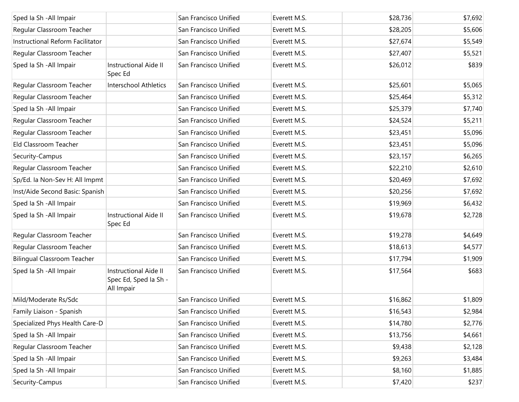| Sped Ia Sh - All Impair            |                                                                     | San Francisco Unified | Everett M.S. | \$28,736 | \$7,692 |
|------------------------------------|---------------------------------------------------------------------|-----------------------|--------------|----------|---------|
| Regular Classroom Teacher          |                                                                     | San Francisco Unified | Everett M.S. | \$28,205 | \$5,606 |
| Instructional Reform Facilitator   |                                                                     | San Francisco Unified | Everett M.S. | \$27,674 | \$5,549 |
| Regular Classroom Teacher          |                                                                     | San Francisco Unified | Everett M.S. | \$27,407 | \$5,521 |
| Sped Ia Sh - All Impair            | <b>Instructional Aide II</b><br>Spec Ed                             | San Francisco Unified | Everett M.S. | \$26,012 | \$839   |
| Regular Classroom Teacher          | <b>Interschool Athletics</b>                                        | San Francisco Unified | Everett M.S. | \$25,601 | \$5,065 |
| Regular Classroom Teacher          |                                                                     | San Francisco Unified | Everett M.S. | \$25,464 | \$5,312 |
| Sped Ia Sh - All Impair            |                                                                     | San Francisco Unified | Everett M.S. | \$25,379 | \$7,740 |
| Regular Classroom Teacher          |                                                                     | San Francisco Unified | Everett M.S. | \$24,524 | \$5,211 |
| Regular Classroom Teacher          |                                                                     | San Francisco Unified | Everett M.S. | \$23,451 | \$5,096 |
| Eld Classroom Teacher              |                                                                     | San Francisco Unified | Everett M.S. | \$23,451 | \$5,096 |
| Security-Campus                    |                                                                     | San Francisco Unified | Everett M.S. | \$23,157 | \$6,265 |
| Regular Classroom Teacher          |                                                                     | San Francisco Unified | Everett M.S. | \$22,210 | \$2,610 |
| Sp/Ed. la Non-Sev H: All Impmt     |                                                                     | San Francisco Unified | Everett M.S. | \$20,469 | \$7,692 |
| Inst/Aide Second Basic: Spanish    |                                                                     | San Francisco Unified | Everett M.S. | \$20,256 | \$7,692 |
| Sped Ia Sh - All Impair            |                                                                     | San Francisco Unified | Everett M.S. | \$19,969 | \$6,432 |
| Sped Ia Sh - All Impair            | Instructional Aide II<br>Spec Ed                                    | San Francisco Unified | Everett M.S. | \$19,678 | \$2,728 |
| Regular Classroom Teacher          |                                                                     | San Francisco Unified | Everett M.S. | \$19,278 | \$4,649 |
| Regular Classroom Teacher          |                                                                     | San Francisco Unified | Everett M.S. | \$18,613 | \$4,577 |
| <b>Bilingual Classroom Teacher</b> |                                                                     | San Francisco Unified | Everett M.S. | \$17,794 | \$1,909 |
| Sped Ia Sh - All Impair            | <b>Instructional Aide II</b><br>Spec Ed, Sped Ia Sh -<br>All Impair | San Francisco Unified | Everett M.S. | \$17,564 | \$683   |
| Mild/Moderate Rs/Sdc               |                                                                     | San Francisco Unified | Everett M.S. | \$16,862 | \$1,809 |
| Family Liaison - Spanish           |                                                                     | San Francisco Unified | Everett M.S. | \$16,543 | \$2,984 |
| Specialized Phys Health Care-D     |                                                                     | San Francisco Unified | Everett M.S. | \$14,780 | \$2,776 |
| Sped Ia Sh - All Impair            |                                                                     | San Francisco Unified | Everett M.S. | \$13,756 | \$4,661 |
| Regular Classroom Teacher          |                                                                     | San Francisco Unified | Everett M.S. | \$9,438  | \$2,128 |
| Sped Ia Sh - All Impair            |                                                                     | San Francisco Unified | Everett M.S. | \$9,263  | \$3,484 |
| Sped Ia Sh - All Impair            |                                                                     | San Francisco Unified | Everett M.S. | \$8,160  | \$1,885 |
| Security-Campus                    |                                                                     | San Francisco Unified | Everett M.S. | \$7,420  | \$237   |